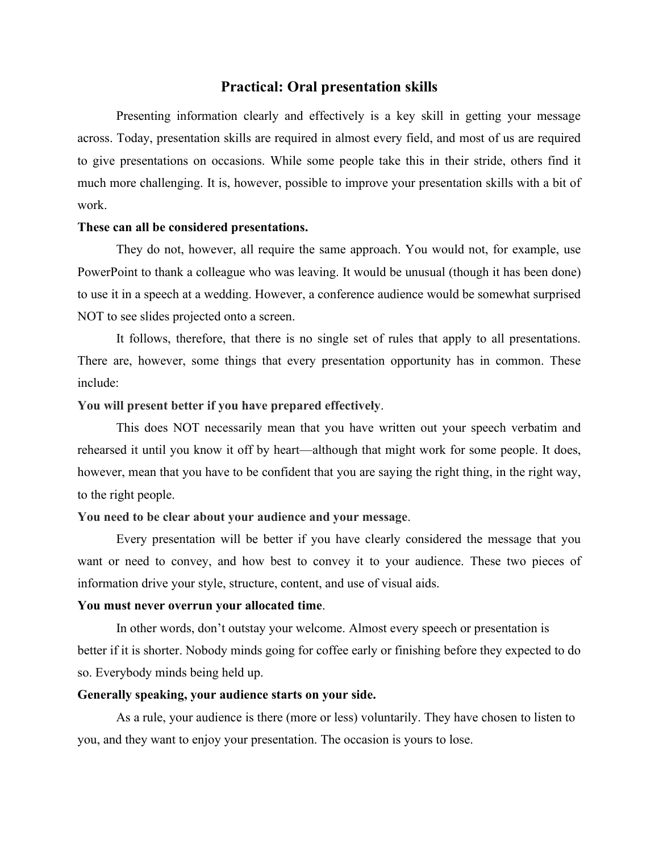# **Practical: Oral presentation skills**

Presenting information clearly and effectively is a key skill in getting your message across. Today, presentation skills are required in almost every field, and most of us are required to give presentations on occasions. While some people take this in their stride, others find it much more challenging. It is, however, possible to improve your presentation skills with a bit of work.

### **These can all be considered presentations.**

They do not, however, all require the same approach. You would not, for example, use PowerPoint to thank a colleague who was leaving. It would be unusual (though it has been done) to use it in a speech at a wedding. However, a conference audience would be somewhat surprised NOT to see slides projected onto a screen.

It follows, therefore, that there is no single set of rules that apply to all presentations. There are, however, some things that every presentation opportunity has in common. These include:

### **You will present better if you have prepared effectively**.

This does NOT necessarily mean that you have written out your speech verbatim and rehearsed it until you know it off by heart—although that might work for some people. It does, however, mean that you have to be confident that you are saying the right thing, in the right way, to the right people.

### **You need to be clear about your audience and your message**.

Every presentation will be better if you have clearly considered the message that you want or need to convey, and how best to convey it to your audience. These two pieces of information drive your style, structure, content, and use of visual aids.

#### **You must never overrun your allocated time**.

In other words, don't outstay your welcome. Almost every speech or presentation is better if it is shorter. Nobody minds going for coffee early or finishing before they expected to do so. Everybody minds being held up.

#### **Generally speaking, your audience starts on your side.**

As a rule, your audience is there (more or less) voluntarily. They have chosen to listen to you, and they want to enjoy your presentation. The occasion is yours to lose.